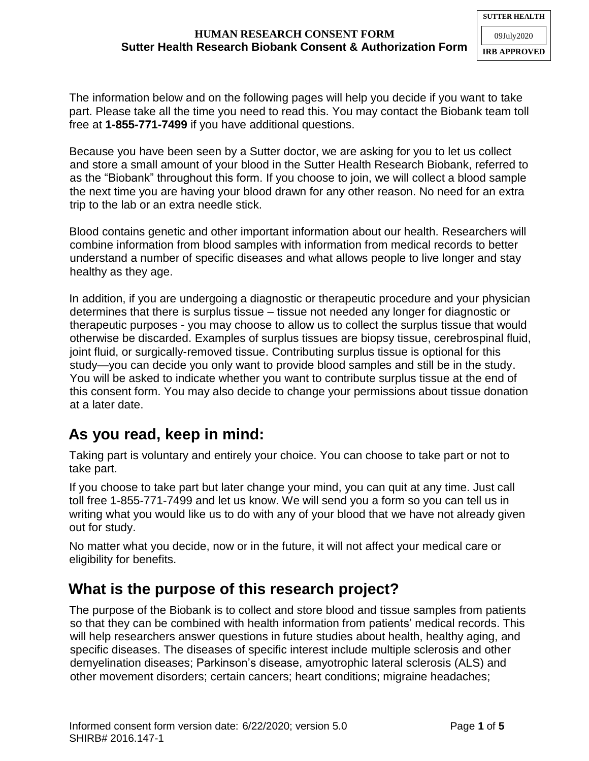The information below and on the following pages will help you decide if you want to take part. Please take all the time you need to read this. You may contact the Biobank team toll free at **1-855-771-7499** if you have additional questions.

Because you have been seen by a Sutter doctor, we are asking for you to let us collect and store a small amount of your blood in the Sutter Health Research Biobank, referred to as the "Biobank" throughout this form. If you choose to join, we will collect a blood sample the next time you are having your blood drawn for any other reason. No need for an extra trip to the lab or an extra needle stick.

Blood contains genetic and other important information about our health. Researchers will combine information from blood samples with information from medical records to better understand a number of specific diseases and what allows people to live longer and stay healthy as they age.

In addition, if you are undergoing a diagnostic or therapeutic procedure and your physician determines that there is surplus tissue – tissue not needed any longer for diagnostic or therapeutic purposes - you may choose to allow us to collect the surplus tissue that would otherwise be discarded. Examples of surplus tissues are biopsy tissue, cerebrospinal fluid, joint fluid, or surgically-removed tissue. Contributing surplus tissue is optional for this study—you can decide you only want to provide blood samples and still be in the study. You will be asked to indicate whether you want to contribute surplus tissue at the end of this consent form. You may also decide to change your permissions about tissue donation at a later date.

# **As you read, keep in mind:**

Taking part is voluntary and entirely your choice. You can choose to take part or not to take part.

If you choose to take part but later change your mind, you can quit at any time. Just call toll free 1-855-771-7499 and let us know. We will send you a form so you can tell us in writing what you would like us to do with any of your blood that we have not already given out for study.

No matter what you decide, now or in the future, it will not affect your medical care or eligibility for benefits.

# **What is the purpose of this research project?**

The purpose of the Biobank is to collect and store blood and tissue samples from patients so that they can be combined with health information from patients' medical records. This will help researchers answer questions in future studies about health, healthy aging, and specific diseases. The diseases of specific interest include multiple sclerosis and other demyelination diseases; Parkinson's disease, amyotrophic lateral sclerosis (ALS) and other movement disorders; certain cancers; heart conditions; migraine headaches;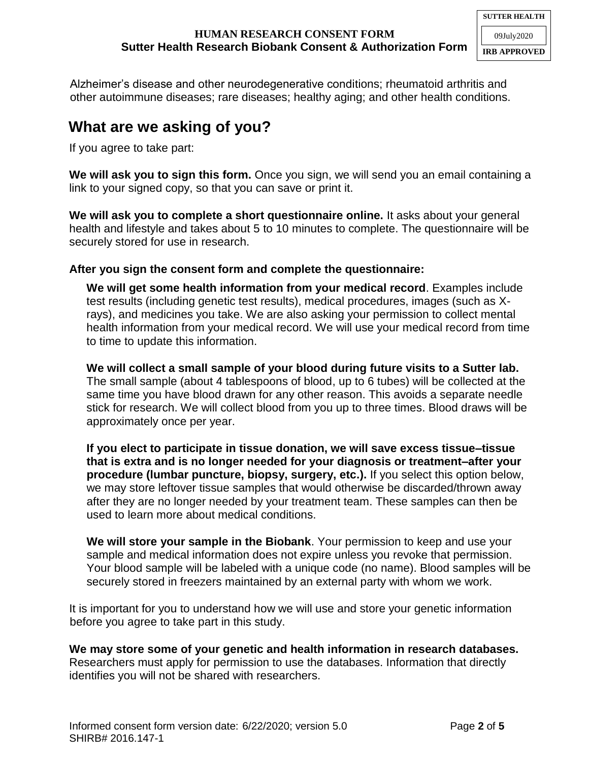#### **HUMAN RESEARCH CONSENT FORM Sutter Health Research Biobank Consent & Authorization Form**

Alzheimer's disease and other neurodegenerative conditions; rheumatoid arthritis and other autoimmune diseases; rare diseases; healthy aging; and other health conditions.

## **What are we asking of you?**

If you agree to take part:

**We will ask you to sign this form.** Once you sign, we will send you an email containing a link to your signed copy, so that you can save or print it.

**We will ask you to complete a short questionnaire online.** It asks about your general health and lifestyle and takes about 5 to 10 minutes to complete. The questionnaire will be securely stored for use in research.

#### **After you sign the consent form and complete the questionnaire:**

**We will get some health information from your medical record**. Examples include test results (including genetic test results), medical procedures, images (such as Xrays), and medicines you take. We are also asking your permission to collect mental health information from your medical record. We will use your medical record from time to time to update this information.

**We will collect a small sample of your blood during future visits to a Sutter lab.**  The small sample (about 4 tablespoons of blood, up to 6 tubes) will be collected at the same time you have blood drawn for any other reason. This avoids a separate needle stick for research. We will collect blood from you up to three times. Blood draws will be approximately once per year.

**If you elect to participate in tissue donation, we will save excess tissue–tissue that is extra and is no longer needed for your diagnosis or treatment–after your procedure (lumbar puncture, biopsy, surgery, etc.).** If you select this option below, we may store leftover tissue samples that would otherwise be discarded/thrown away after they are no longer needed by your treatment team. These samples can then be used to learn more about medical conditions.

**We will store your sample in the Biobank**. Your permission to keep and use your sample and medical information does not expire unless you revoke that permission. Your blood sample will be labeled with a unique code (no name). Blood samples will be securely stored in freezers maintained by an external party with whom we work.

It is important for you to understand how we will use and store your genetic information before you agree to take part in this study.

**We may store some of your genetic and health information in research databases.** Researchers must apply for permission to use the databases. Information that directly identifies you will not be shared with researchers.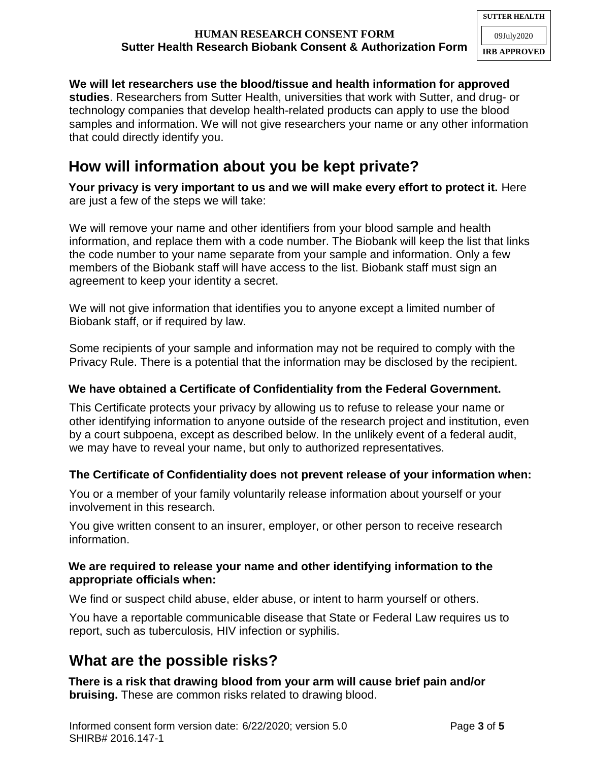### **HUMAN RESEARCH CONSENT FORM Sutter Health Research Biobank Consent & Authorization Form**

### **We will let researchers use the blood/tissue and health information for approved**

**studies**. Researchers from Sutter Health, universities that work with Sutter, and drug- or technology companies that develop health-related products can apply to use the blood samples and information. We will not give researchers your name or any other information that could directly identify you.

# **How will information about you be kept private?**

**Your privacy is very important to us and we will make every effort to protect it.** Here are just a few of the steps we will take:

We will remove your name and other identifiers from your blood sample and health information, and replace them with a code number. The Biobank will keep the list that links the code number to your name separate from your sample and information. Only a few members of the Biobank staff will have access to the list. Biobank staff must sign an agreement to keep your identity a secret.

We will not give information that identifies you to anyone except a limited number of Biobank staff, or if required by law.

Some recipients of your sample and information may not be required to comply with the Privacy Rule. There is a potential that the information may be disclosed by the recipient.

### **We have obtained a Certificate of Confidentiality from the Federal Government.**

This Certificate protects your privacy by allowing us to refuse to release your name or other identifying information to anyone outside of the research project and institution, even by a court subpoena, except as described below. In the unlikely event of a federal audit, we may have to reveal your name, but only to authorized representatives.

#### **The Certificate of Confidentiality does not prevent release of your information when:**

You or a member of your family voluntarily release information about yourself or your involvement in this research.

You give written consent to an insurer, employer, or other person to receive research information.

#### **We are required to release your name and other identifying information to the appropriate officials when:**

We find or suspect child abuse, elder abuse, or intent to harm yourself or others.

You have a reportable communicable disease that State or Federal Law requires us to report, such as tuberculosis, HIV infection or syphilis.

# **What are the possible risks?**

**There is a risk that drawing blood from your arm will cause brief pain and/or bruising.** These are common risks related to drawing blood.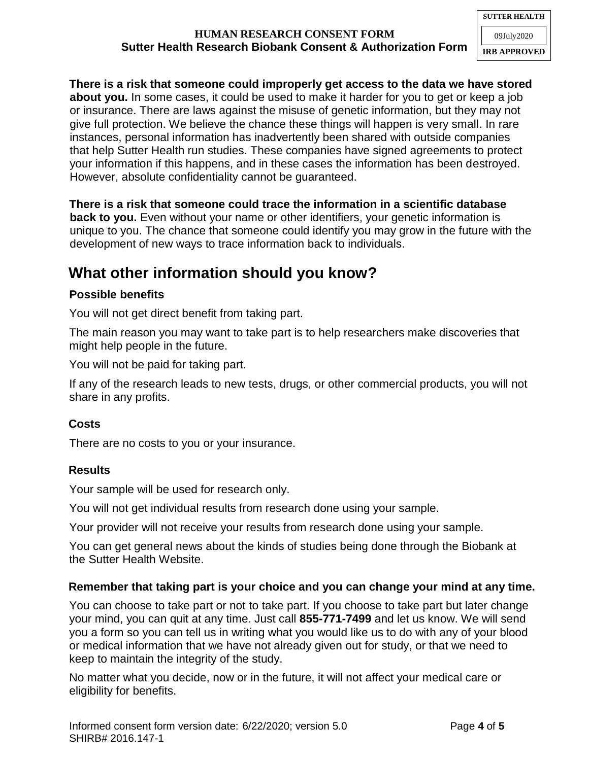### **HUMAN RESEARCH CONSENT FORM Sutter Health Research Biobank Consent & Authorization Form**

**There is a risk that someone could improperly get access to the data we have stored about you.** In some cases, it could be used to make it harder for you to get or keep a job or insurance. There are laws against the misuse of genetic information, but they may not give full protection. We believe the chance these things will happen is very small. In rare instances, personal information has inadvertently been shared with outside companies that help Sutter Health run studies. These companies have signed agreements to protect your information if this happens, and in these cases the information has been destroyed. However, absolute confidentiality cannot be guaranteed.

**There is a risk that someone could trace the information in a scientific database back to you.** Even without your name or other identifiers, your genetic information is unique to you. The chance that someone could identify you may grow in the future with the development of new ways to trace information back to individuals.

# **What other information should you know?**

### **Possible benefits**

You will not get direct benefit from taking part.

The main reason you may want to take part is to help researchers make discoveries that might help people in the future.

You will not be paid for taking part.

If any of the research leads to new tests, drugs, or other commercial products, you will not share in any profits.

### **Costs**

There are no costs to you or your insurance.

#### **Results**

Your sample will be used for research only.

You will not get individual results from research done using your sample.

Your provider will not receive your results from research done using your sample.

You can get general news about the kinds of studies being done through the Biobank at the Sutter Health Website.

#### **Remember that taking part is your choice and you can change your mind at any time.**

You can choose to take part or not to take part. If you choose to take part but later change your mind, you can quit at any time. Just call **855-771-7499** and let us know. We will send you a form so you can tell us in writing what you would like us to do with any of your blood or medical information that we have not already given out for study, or that we need to keep to maintain the integrity of the study.

No matter what you decide, now or in the future, it will not affect your medical care or eligibility for benefits.